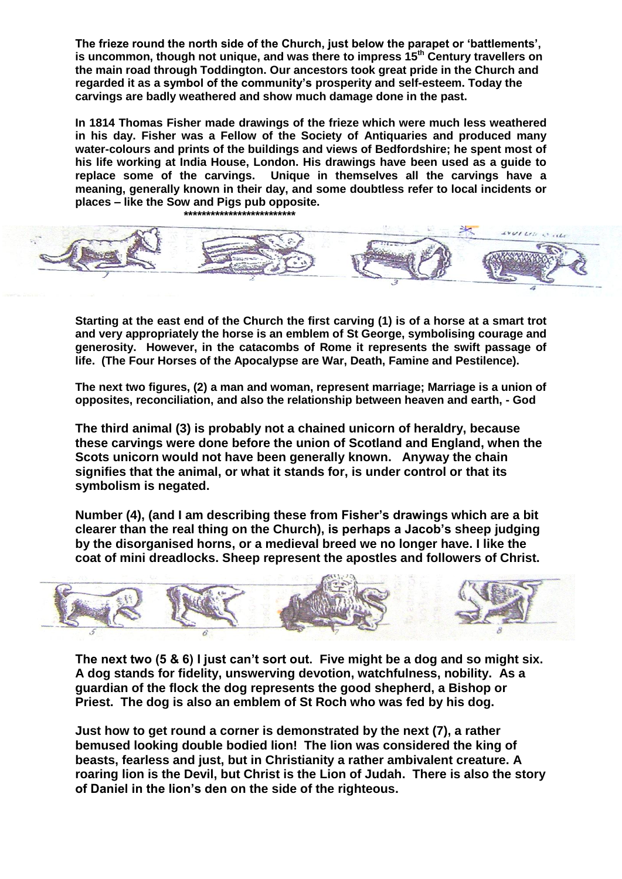**The frieze round the north side of the Church, just below the parapet or 'battlements', is uncommon, though not unique, and was there to impress 15th Century travellers on the main road through Toddington. Our ancestors took great pride in the Church and regarded it as a symbol of the community's prosperity and self-esteem. Today the carvings are badly weathered and show much damage done in the past.**

**In 1814 Thomas Fisher made drawings of the frieze which were much less weathered in his day. Fisher was a Fellow of the Society of Antiquaries and produced many water-colours and prints of the buildings and views of Bedfordshire; he spent most of his life working at India House, London. His drawings have been used as a guide to replace some of the carvings. Unique in themselves all the carvings have a meaning, generally known in their day, and some doubtless refer to local incidents or places – like the Sow and Pigs pub opposite.**



**Starting at the east end of the Church the first carving (1) is of a horse at a smart trot and very appropriately the horse is an emblem of St George, symbolising courage and generosity. However, in the catacombs of Rome it represents the swift passage of life. (The Four Horses of the Apocalypse are War, Death, Famine and Pestilence).**

**The next two figures, (2) a man and woman, represent marriage; Marriage is a union of opposites, reconciliation, and also the relationship between heaven and earth, - God** 

**The third animal (3) is probably not a chained unicorn of heraldry, because these carvings were done before the union of Scotland and England, when the Scots unicorn would not have been generally known. Anyway the chain signifies that the animal, or what it stands for, is under control or that its symbolism is negated.**

**Number (4), (and I am describing these from Fisher's drawings which are a bit clearer than the real thing on the Church), is perhaps a Jacob's sheep judging by the disorganised horns, or a medieval breed we no longer have. I like the coat of mini dreadlocks. Sheep represent the apostles and followers of Christ.**



**The next two (5 & 6) I just can't sort out. Five might be a dog and so might six. A dog stands for fidelity, unswerving devotion, watchfulness, nobility. As a guardian of the flock the dog represents the good shepherd, a Bishop or Priest. The dog is also an emblem of St Roch who was fed by his dog.**

**Just how to get round a corner is demonstrated by the next (7), a rather bemused looking double bodied lion! The lion was considered the king of beasts, fearless and just, but in Christianity a rather ambivalent creature. A roaring lion is the Devil, but Christ is the Lion of Judah. There is also the story of Daniel in the lion's den on the side of the righteous.**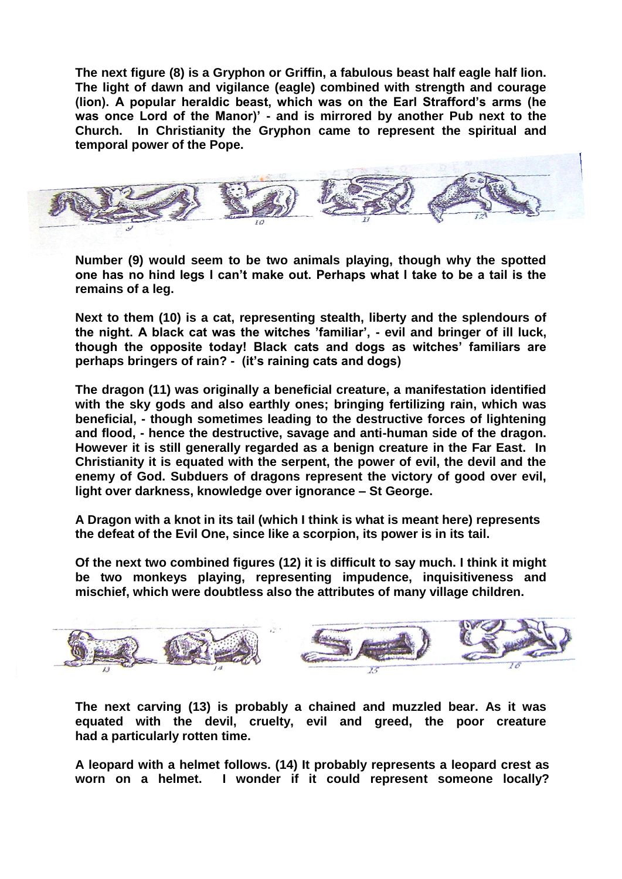**The next figure (8) is a Gryphon or Griffin, a fabulous beast half eagle half lion. The light of dawn and vigilance (eagle) combined with strength and courage (lion). A popular heraldic beast, which was on the Earl Strafford's arms (he was once Lord of the Manor)' - and is mirrored by another Pub next to the Church. In Christianity the Gryphon came to represent the spiritual and temporal power of the Pope.**



**Number (9) would seem to be two animals playing, though why the spotted one has no hind legs I can't make out. Perhaps what I take to be a tail is the remains of a leg.** 

**Next to them (10) is a cat, representing stealth, liberty and the splendours of the night. A black cat was the witches 'familiar', - evil and bringer of ill luck, though the opposite today! Black cats and dogs as witches' familiars are perhaps bringers of rain? - (it's raining cats and dogs)**

**The dragon (11) was originally a beneficial creature, a manifestation identified with the sky gods and also earthly ones; bringing fertilizing rain, which was beneficial, - though sometimes leading to the destructive forces of lightening and flood, - hence the destructive, savage and anti-human side of the dragon. However it is still generally regarded as a benign creature in the Far East. In Christianity it is equated with the serpent, the power of evil, the devil and the enemy of God. Subduers of dragons represent the victory of good over evil, light over darkness, knowledge over ignorance – St George.**

**A Dragon with a knot in its tail (which I think is what is meant here) represents the defeat of the Evil One, since like a scorpion, its power is in its tail.**

**Of the next two combined figures (12) it is difficult to say much. I think it might be two monkeys playing, representing impudence, inquisitiveness and mischief, which were doubtless also the attributes of many village children.** 



**The next carving (13) is probably a chained and muzzled bear. As it was equated with the devil, cruelty, evil and greed, the poor creature had a particularly rotten time.**

**A leopard with a helmet follows. (14) It probably represents a leopard crest as worn on a helmet. I wonder if it could represent someone locally?**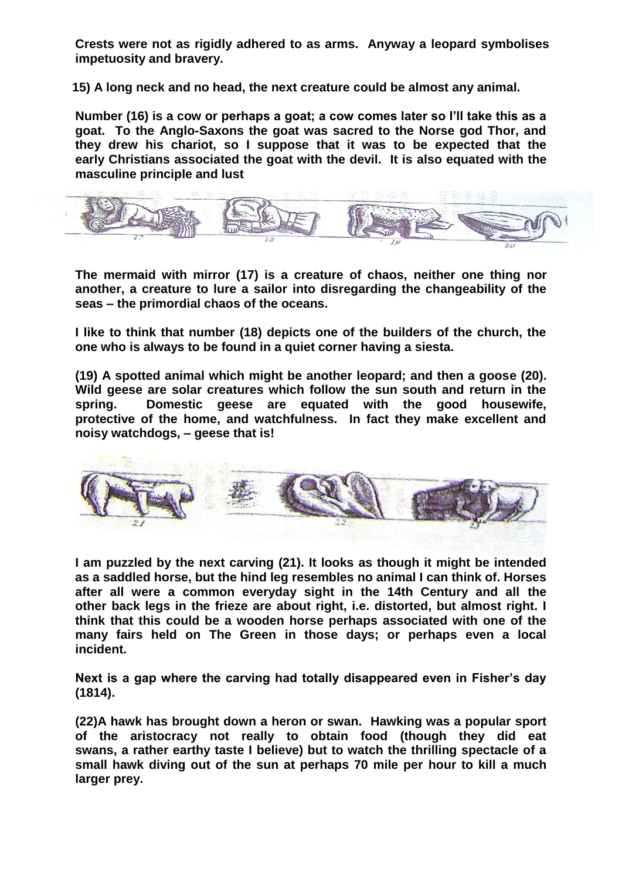**Crests were not as rigidly adhered to as arms. Anyway a leopard symbolises impetuosity and bravery.**

**15) A long neck and no head, the next creature could be almost any animal.**

**Number (16) is a cow or perhaps a goat; a cow comes later so I'll take this as a goat. To the Anglo-Saxons the goat was sacred to the Norse god Thor, and they drew his chariot, so I suppose that it was to be expected that the early Christians associated the goat with the devil. It is also equated with the masculine principle and lust**



**The mermaid with mirror (17) is a creature of chaos, neither one thing nor another, a creature to lure a sailor into disregarding the changeability of the seas – the primordial chaos of the oceans.**

**I like to think that number (18) depicts one of the builders of the church, the one who is always to be found in a quiet corner having a siesta.**

**(19) A spotted animal which might be another leopard; and then a goose (20). Wild geese are solar creatures which follow the sun south and return in the spring. Domestic geese are equated with the good housewife, protective of the home, and watchfulness. In fact they make excellent and noisy watchdogs, – geese that is!**



**I am puzzled by the next carving (21). It looks as though it might be intended as a saddled horse, but the hind leg resembles no animal I can think of. Horses after all were a common everyday sight in the 14th Century and all the other back legs in the frieze are about right, i.e. distorted, but almost right. I think that this could be a wooden horse perhaps associated with one of the many fairs held on The Green in those days; or perhaps even a local incident.**

**Next is a gap where the carving had totally disappeared even in Fisher's day (1814).** 

**(22)A hawk has brought down a heron or swan. Hawking was a popular sport of the aristocracy not really to obtain food (though they did eat swans, a rather earthy taste I believe) but to watch the thrilling spectacle of a small hawk diving out of the sun at perhaps 70 mile per hour to kill a much larger prey.**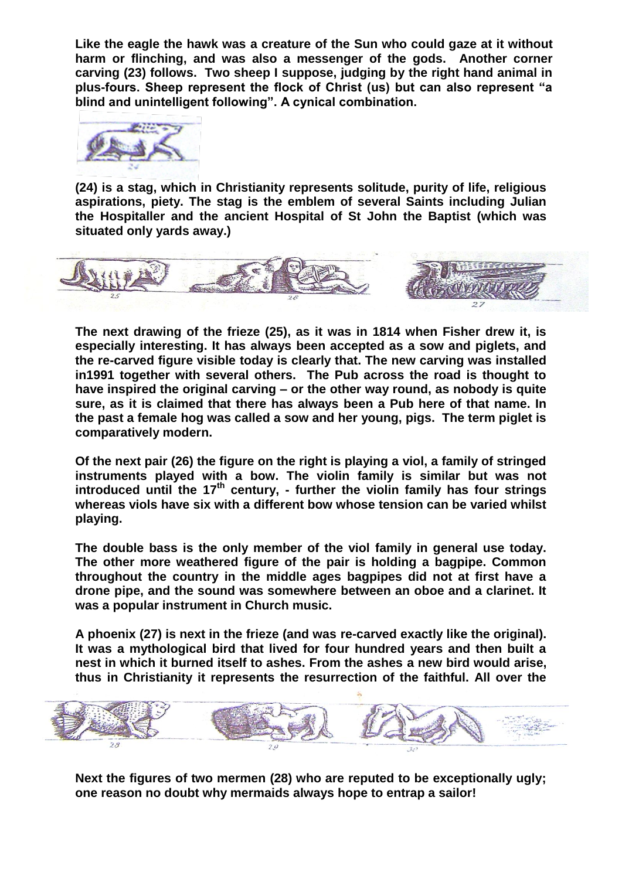**Like the eagle the hawk was a creature of the Sun who could gaze at it without harm or flinching, and was also a messenger of the gods. Another corner carving (23) follows. Two sheep I suppose, judging by the right hand animal in plus-fours. Sheep represent the flock of Christ (us) but can also represent "a blind and unintelligent following". A cynical combination.**



**(24) is a stag, which in Christianity represents solitude, purity of life, religious aspirations, piety. The stag is the emblem of several Saints including Julian the Hospitaller and the ancient Hospital of St John the Baptist (which was situated only yards away.)**



**The next drawing of the frieze (25), as it was in 1814 when Fisher drew it, is especially interesting. It has always been accepted as a sow and piglets, and the re-carved figure visible today is clearly that. The new carving was installed in1991 together with several others. The Pub across the road is thought to have inspired the original carving – or the other way round, as nobody is quite sure, as it is claimed that there has always been a Pub here of that name. In the past a female hog was called a sow and her young, pigs. The term piglet is comparatively modern.**

**Of the next pair (26) the figure on the right is playing a viol, a family of stringed instruments played with a bow. The violin family is similar but was not introduced until the 17th century, - further the violin family has four strings whereas viols have six with a different bow whose tension can be varied whilst playing.**

**The double bass is the only member of the viol family in general use today. The other more weathered figure of the pair is holding a bagpipe. Common throughout the country in the middle ages bagpipes did not at first have a drone pipe, and the sound was somewhere between an oboe and a clarinet. It was a popular instrument in Church music.**

**A phoenix (27) is next in the frieze (and was re-carved exactly like the original). It was a mythological bird that lived for four hundred years and then built a nest in which it burned itself to ashes. From the ashes a new bird would arise, thus in Christianity it represents the resurrection of the faithful. All over the** 



**Next the figures of two mermen (28) who are reputed to be exceptionally ugly; one reason no doubt why mermaids always hope to entrap a sailor!**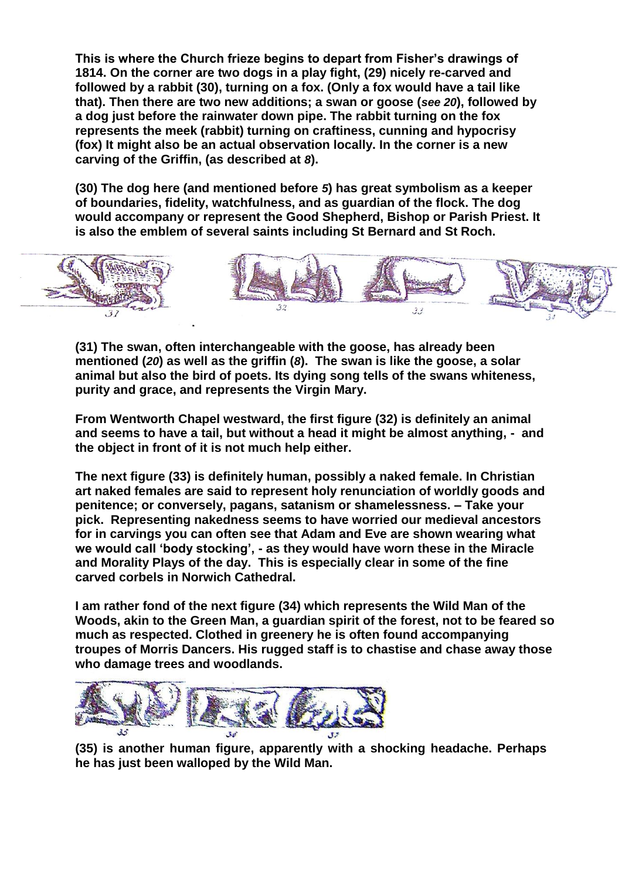**This is where the Church frieze begins to depart from Fisher's drawings of 1814. On the corner are two dogs in a play fight, (29) nicely re-carved and followed by a rabbit (30), turning on a fox. (Only a fox would have a tail like that). Then there are two new additions; a swan or goose (***see 20***), followed by a dog just before the rainwater down pipe. The rabbit turning on the fox represents the meek (rabbit) turning on craftiness, cunning and hypocrisy (fox) It might also be an actual observation locally. In the corner is a new carving of the Griffin, (as described at** *8***).**

**(30) The dog here (and mentioned before** *5***) has great symbolism as a keeper of boundaries, fidelity, watchfulness, and as guardian of the flock. The dog would accompany or represent the Good Shepherd, Bishop or Parish Priest. It is also the emblem of several saints including St Bernard and St Roch.**



**(31) The swan, often interchangeable with the goose, has already been mentioned (***20***) as well as the griffin (***8***). The swan is like the goose, a solar animal but also the bird of poets. Its dying song tells of the swans whiteness, purity and grace, and represents the Virgin Mary.**

**From Wentworth Chapel westward, the first figure (32) is definitely an animal and seems to have a tail, but without a head it might be almost anything, - and the object in front of it is not much help either.** 

**The next figure (33) is definitely human, possibly a naked female. In Christian art naked females are said to represent holy renunciation of worldly goods and penitence; or conversely, pagans, satanism or shamelessness. – Take your pick. Representing nakedness seems to have worried our medieval ancestors for in carvings you can often see that Adam and Eve are shown wearing what we would call 'body stocking', - as they would have worn these in the Miracle and Morality Plays of the day. This is especially clear in some of the fine carved corbels in Norwich Cathedral.**

**I am rather fond of the next figure (34) which represents the Wild Man of the Woods, akin to the Green Man, a guardian spirit of the forest, not to be feared so much as respected. Clothed in greenery he is often found accompanying troupes of Morris Dancers. His rugged staff is to chastise and chase away those who damage trees and woodlands.**



**(35) is another human figure, apparently with a shocking headache. Perhaps he has just been walloped by the Wild Man.**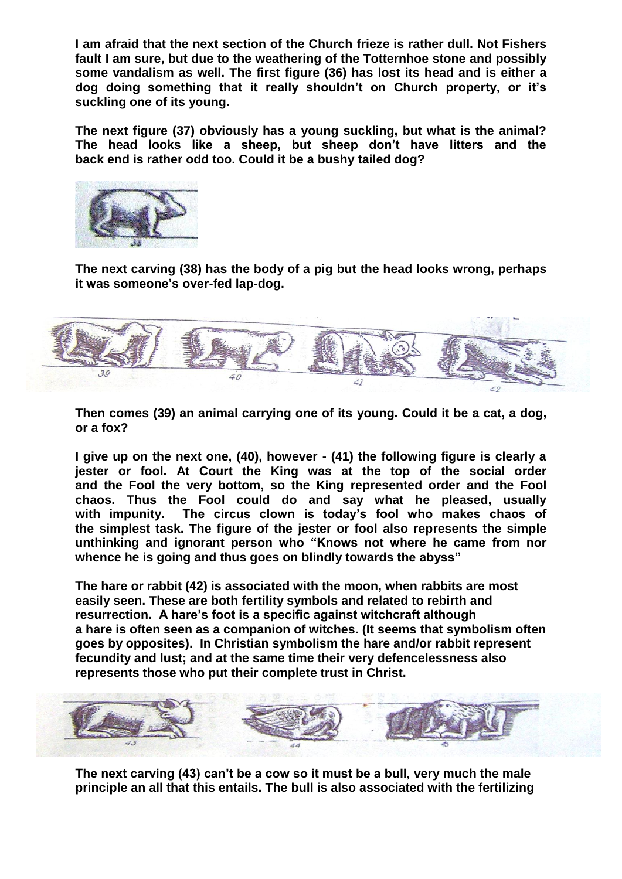**I am afraid that the next section of the Church frieze is rather dull. Not Fishers fault I am sure, but due to the weathering of the Totternhoe stone and possibly some vandalism as well. The first figure (36) has lost its head and is either a dog doing something that it really shouldn't on Church property, or it's suckling one of its young.** 

**The next figure (37) obviously has a young suckling, but what is the animal? The head looks like a sheep, but sheep don't have litters and the back end is rather odd too. Could it be a bushy tailed dog?** 



**The next carving (38) has the body of a pig but the head looks wrong, perhaps it was someone's over-fed lap-dog.** 



**Then comes (39) an animal carrying one of its young. Could it be a cat, a dog, or a fox?**

**I give up on the next one, (40), however - (41) the following figure is clearly a jester or fool. At Court the King was at the top of the social order and the Fool the very bottom, so the King represented order and the Fool chaos. Thus the Fool could do and say what he pleased, usually with impunity. The circus clown is today's fool who makes chaos of the simplest task. The figure of the jester or fool also represents the simple unthinking and ignorant person who "Knows not where he came from nor whence he is going and thus goes on blindly towards the abyss"**

**The hare or rabbit (42) is associated with the moon, when rabbits are most easily seen. These are both fertility symbols and related to rebirth and resurrection. A hare's foot is a specific against witchcraft although a hare is often seen as a companion of witches. (It seems that symbolism often goes by opposites). In Christian symbolism the hare and/or rabbit represent fecundity and lust; and at the same time their very defencelessness also represents those who put their complete trust in Christ.**



**The next carving (43) can't be a cow so it must be a bull, very much the male principle an all that this entails. The bull is also associated with the fertilizing**